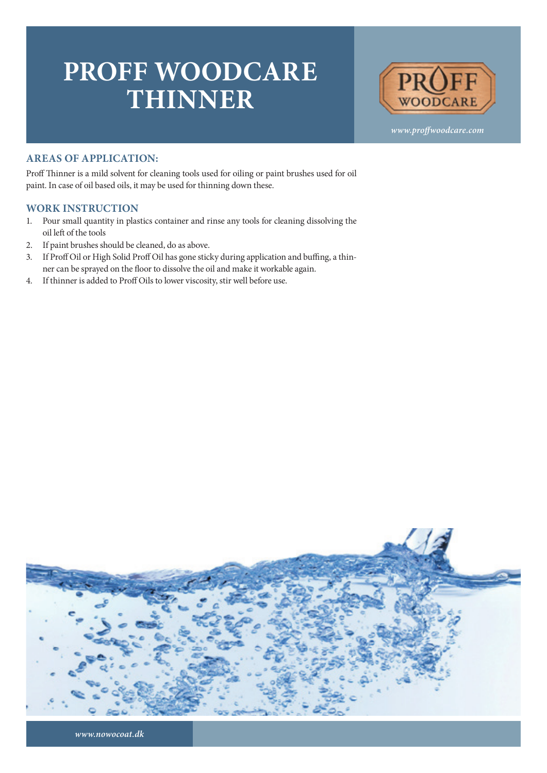## **PROFF WOODCARE THINNER**



*www.proffwoodcare.com*

## **AREAS OF APPLICATION:**

Proff Thinner is a mild solvent for cleaning tools used for oiling or paint brushes used for oil paint. In case of oil based oils, it may be used for thinning down these.

## **WORK INSTRUCTION**

- 1. Pour small quantity in plastics container and rinse any tools for cleaning dissolving the oil left of the tools
- 2. If paint brushes should be cleaned, do as above.
- 3. If Proff Oil or High Solid Proff Oil has gone sticky during application and buffing, a thinner can be sprayed on the floor to dissolve the oil and make it workable again.
- 4. If thinner is added to Proff Oils to lower viscosity, stir well before use.